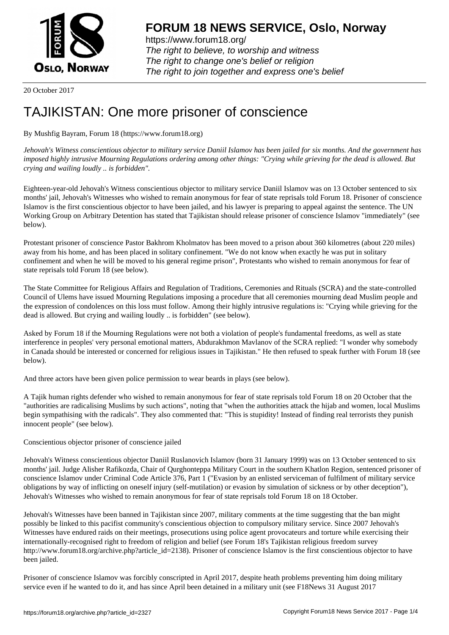

https://www.forum18.org/ The right to believe, to worship and witness The right to change one's belief or religion [The right to join together a](https://www.forum18.org/)nd express one's belief

20 October 2017

## [TAJIKISTAN: O](https://www.forum18.org)ne more prisoner of conscience

By Mushfig Bayram, Forum 18 (https://www.forum18.org)

*Jehovah's Witness conscientious objector to military service Daniil Islamov has been jailed for six months. And the government has imposed highly intrusive Mourning Regulations ordering among other things: "Crying while grieving for the dead is allowed. But crying and wailing loudly .. is forbidden".*

Eighteen-year-old Jehovah's Witness conscientious objector to military service Daniil Islamov was on 13 October sentenced to six months' jail, Jehovah's Witnesses who wished to remain anonymous for fear of state reprisals told Forum 18. Prisoner of conscience Islamov is the first conscientious objector to have been jailed, and his lawyer is preparing to appeal against the sentence. The UN Working Group on Arbitrary Detention has stated that Tajikistan should release prisoner of conscience Islamov "immediately" (see below).

Protestant prisoner of conscience Pastor Bakhrom Kholmatov has been moved to a prison about 360 kilometres (about 220 miles) away from his home, and has been placed in solitary confinement. "We do not know when exactly he was put in solitary confinement and when he will be moved to his general regime prison", Protestants who wished to remain anonymous for fear of state reprisals told Forum 18 (see below).

The State Committee for Religious Affairs and Regulation of Traditions, Ceremonies and Rituals (SCRA) and the state-controlled Council of Ulems have issued Mourning Regulations imposing a procedure that all ceremonies mourning dead Muslim people and the expression of condolences on this loss must follow. Among their highly intrusive regulations is: "Crying while grieving for the dead is allowed. But crying and wailing loudly .. is forbidden" (see below).

Asked by Forum 18 if the Mourning Regulations were not both a violation of people's fundamental freedoms, as well as state interference in peoples' very personal emotional matters, Abdurakhmon Mavlanov of the SCRA replied: "I wonder why somebody in Canada should be interested or concerned for religious issues in Tajikistan." He then refused to speak further with Forum 18 (see below).

And three actors have been given police permission to wear beards in plays (see below).

A Tajik human rights defender who wished to remain anonymous for fear of state reprisals told Forum 18 on 20 October that the "authorities are radicalising Muslims by such actions", noting that "when the authorities attack the hijab and women, local Muslims begin sympathising with the radicals". They also commented that: "This is stupidity! Instead of finding real terrorists they punish innocent people" (see below).

Conscientious objector prisoner of conscience jailed

Jehovah's Witness conscientious objector Daniil Ruslanovich Islamov (born 31 January 1999) was on 13 October sentenced to six months' jail. Judge Alisher Rafikozda, Chair of Qurghonteppa Military Court in the southern Khatlon Region, sentenced prisoner of conscience Islamov under Criminal Code Article 376, Part 1 ("Evasion by an enlisted serviceman of fulfilment of military service obligations by way of inflicting on oneself injury (self-mutilation) or evasion by simulation of sickness or by other deception"), Jehovah's Witnesses who wished to remain anonymous for fear of state reprisals told Forum 18 on 18 October.

Jehovah's Witnesses have been banned in Tajikistan since 2007, military comments at the time suggesting that the ban might possibly be linked to this pacifist community's conscientious objection to compulsory military service. Since 2007 Jehovah's Witnesses have endured raids on their meetings, prosecutions using police agent provocateurs and torture while exercising their internationally-recognised right to freedom of religion and belief (see Forum 18's Tajikistan religious freedom survey http://www.forum18.org/archive.php?article\_id=2138). Prisoner of conscience Islamov is the first conscientious objector to have been jailed.

Prisoner of conscience Islamov was forcibly conscripted in April 2017, despite heath problems preventing him doing military service even if he wanted to do it, and has since April been detained in a military unit (see F18News 31 August 2017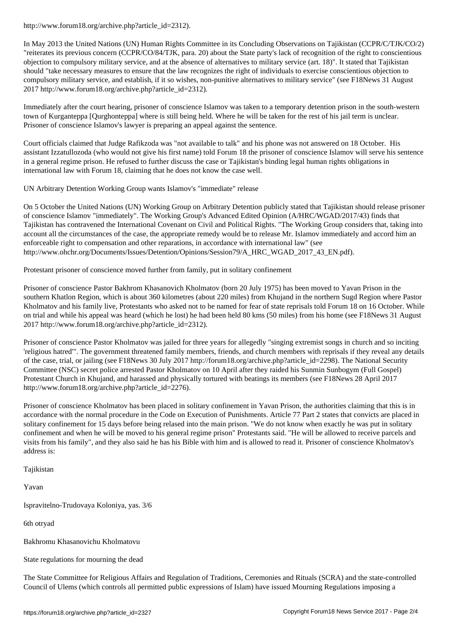In May 2013 the United Nations (UN) Human Rights Committee in its Concluding Observations on Tajikistan (CCPR/C/TJK/CO/2) "reiterates its previous concern (CCPR/CO/84/TJK, para. 20) about the State party's lack of recognition of the right to conscientious objection to compulsory military service, and at the absence of alternatives to military service (art. 18)". It stated that Tajikistan should "take necessary measures to ensure that the law recognizes the right of individuals to exercise conscientious objection to compulsory military service, and establish, if it so wishes, non-punitive alternatives to military service" (see F18News 31 August 2017 http://www.forum18.org/archive.php?article\_id=2312).

Immediately after the court hearing, prisoner of conscience Islamov was taken to a temporary detention prison in the south-western town of Kurganteppa [Qurghonteppa] where is still being held. Where he will be taken for the rest of his jail term is unclear. Prisoner of conscience Islamov's lawyer is preparing an appeal against the sentence.

Court officials claimed that Judge Rafikzoda was "not available to talk" and his phone was not answered on 18 October. His assistant Izzatullozoda (who would not give his first name) told Forum 18 the prisoner of conscience Islamov will serve his sentence in a general regime prison. He refused to further discuss the case or Tajikistan's binding legal human rights obligations in international law with Forum 18, claiming that he does not know the case well.

UN Arbitrary Detention Working Group wants Islamov's "immediate" release

On 5 October the United Nations (UN) Working Group on Arbitrary Detention publicly stated that Tajikistan should release prisoner of conscience Islamov "immediately". The Working Group's Advanced Edited Opinion (A/HRC/WGAD/2017/43) finds that Tajikistan has contravened the International Covenant on Civil and Political Rights. "The Working Group considers that, taking into account all the circumstances of the case, the appropriate remedy would be to release Mr. Islamov immediately and accord him an enforceable right to compensation and other reparations, in accordance with international law" (see http://www.ohchr.org/Documents/Issues/Detention/Opinions/Session79/A\_HRC\_WGAD\_2017\_43\_EN.pdf).

Protestant prisoner of conscience moved further from family, put in solitary confinement

Prisoner of conscience Pastor Bakhrom Khasanovich Kholmatov (born 20 July 1975) has been moved to Yavan Prison in the southern Khatlon Region, which is about 360 kilometres (about 220 miles) from Khujand in the northern Sugd Region where Pastor Kholmatov and his family live, Protestants who asked not to be named for fear of state reprisals told Forum 18 on 16 October. While on trial and while his appeal was heard (which he lost) he had been held 80 kms (50 miles) from his home (see F18News 31 August 2017 http://www.forum18.org/archive.php?article\_id=2312).

Prisoner of conscience Pastor Kholmatov was jailed for three years for allegedly "singing extremist songs in church and so inciting 'religious hatred'". The government threatened family members, friends, and church members with reprisals if they reveal any details of the case, trial, or jailing (see F18News 30 July 2017 http://forum18.org/archive.php?article\_id=2298). The National Security Committee (NSC) secret police arrested Pastor Kholmatov on 10 April after they raided his Sunmin Sunbogym (Full Gospel) Protestant Church in Khujand, and harassed and physically tortured with beatings its members (see F18News 28 April 2017 http://www.forum18.org/archive.php?article\_id=2276).

Prisoner of conscience Kholmatov has been placed in solitary confinement in Yavan Prison, the authorities claiming that this is in accordance with the normal procedure in the Code on Execution of Punishments. Article 77 Part 2 states that convicts are placed in solitary confinement for 15 days before being relased into the main prison. "We do not know when exactly he was put in solitary confinement and when he will be moved to his general regime prison" Protestants said. "He will be allowed to receive parcels and visits from his family", and they also said he has his Bible with him and is allowed to read it. Prisoner of conscience Kholmatov's address is:

Tajikistan

Yavan

Ispravitelno-Trudovaya Koloniya, yas. 3/6

6th otryad

Bakhromu Khasanovichu Kholmatovu

State regulations for mourning the dead

The State Committee for Religious Affairs and Regulation of Traditions, Ceremonies and Rituals (SCRA) and the state-controlled Council of Ulems (which controls all permitted public expressions of Islam) have issued Mourning Regulations imposing a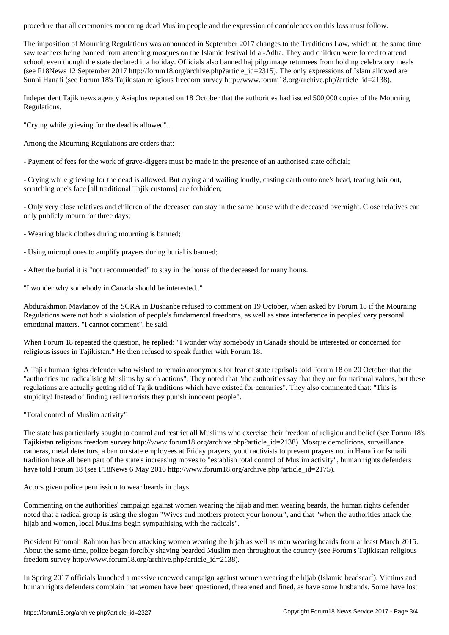The imposition of Mourning Regulations was announced in September 2017 changes to the Traditions Law, which at the same time saw teachers being banned from attending mosques on the Islamic festival Id al-Adha. They and children were forced to attend school, even though the state declared it a holiday. Officials also banned haj pilgrimage returnees from holding celebratory meals (see F18News 12 September 2017 http://forum18.org/archive.php?article\_id=2315). The only expressions of Islam allowed are Sunni Hanafi (see Forum 18's Tajikistan religious freedom survey http://www.forum18.org/archive.php?article\_id=2138).

Independent Tajik news agency Asiaplus reported on 18 October that the authorities had issued 500,000 copies of the Mourning Regulations.

"Crying while grieving for the dead is allowed"..

Among the Mourning Regulations are orders that:

- Payment of fees for the work of grave-diggers must be made in the presence of an authorised state official;

- Crying while grieving for the dead is allowed. But crying and wailing loudly, casting earth onto one's head, tearing hair out, scratching one's face [all traditional Tajik customs] are forbidden;

- Only very close relatives and children of the deceased can stay in the same house with the deceased overnight. Close relatives can only publicly mourn for three days;

- Wearing black clothes during mourning is banned;

- Using microphones to amplify prayers during burial is banned;

- After the burial it is "not recommended" to stay in the house of the deceased for many hours.

"I wonder why somebody in Canada should be interested.."

Abdurakhmon Mavlanov of the SCRA in Dushanbe refused to comment on 19 October, when asked by Forum 18 if the Mourning Regulations were not both a violation of people's fundamental freedoms, as well as state interference in peoples' very personal emotional matters. "I cannot comment", he said.

When Forum 18 repeated the question, he replied: "I wonder why somebody in Canada should be interested or concerned for religious issues in Tajikistan." He then refused to speak further with Forum 18.

A Tajik human rights defender who wished to remain anonymous for fear of state reprisals told Forum 18 on 20 October that the "authorities are radicalising Muslims by such actions". They noted that "the authorities say that they are for national values, but these regulations are actually getting rid of Tajik traditions which have existed for centuries". They also commented that: "This is stupidity! Instead of finding real terrorists they punish innocent people".

"Total control of Muslim activity"

The state has particularly sought to control and restrict all Muslims who exercise their freedom of religion and belief (see Forum 18's Tajikistan religious freedom survey http://www.forum18.org/archive.php?article\_id=2138). Mosque demolitions, surveillance cameras, metal detectors, a ban on state employees at Friday prayers, youth activists to prevent prayers not in Hanafi or Ismaili tradition have all been part of the state's increasing moves to "establish total control of Muslim activity", human rights defenders have told Forum 18 (see F18News 6 May 2016 http://www.forum18.org/archive.php?article\_id=2175).

Actors given police permission to wear beards in plays

Commenting on the authorities' campaign against women wearing the hijab and men wearing beards, the human rights defender noted that a radical group is using the slogan "Wives and mothers protect your honour", and that "when the authorities attack the hijab and women, local Muslims begin sympathising with the radicals".

President Emomali Rahmon has been attacking women wearing the hijab as well as men wearing beards from at least March 2015. About the same time, police began forcibly shaving bearded Muslim men throughout the country (see Forum's Tajikistan religious freedom survey http://www.forum18.org/archive.php?article\_id=2138).

In Spring 2017 officials launched a massive renewed campaign against women wearing the hijab (Islamic headscarf). Victims and human rights defenders complain that women have been questioned, threatened and fined, as have some husbands. Some have lost